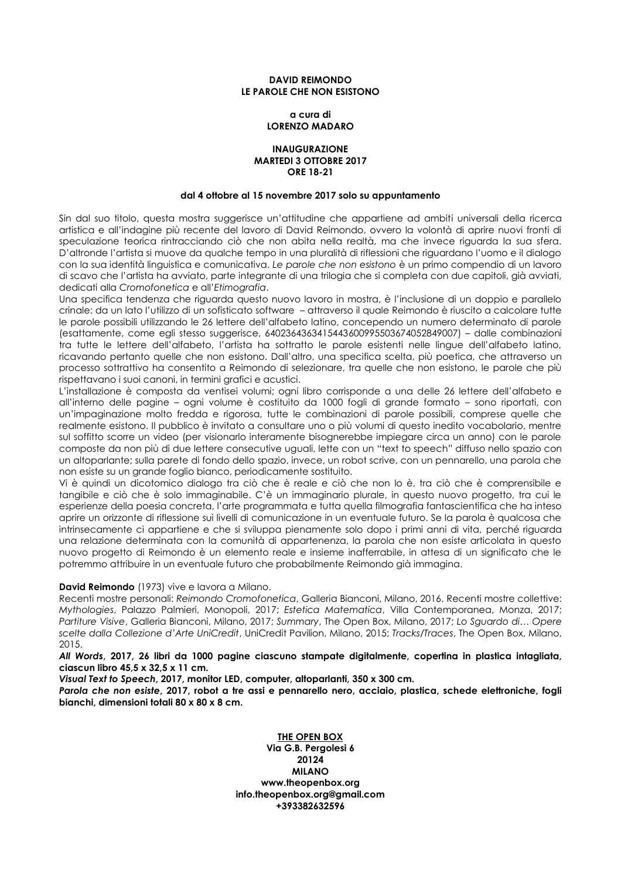## **DAVID REIMONDO LE PAROLE CHE NON ESISTONO**

## **a cura di LORENZO MADARO**

## **INAUGURAZIONE MARTEDI 3 OTTOBRE 2017 ORE 18-21**

#### **dal 4 ottobre al 15 novembre 2017 solo su appuntamento**

Sin dal suo titolo, questa mostra suggerisce un'attitudine che appartiene ad ambiti universali della ricerca artistica e all'indagine più recente del lavoro di David Reimondo, ovvero la volontà di aprire nuovi fronti di speculazione teorica rintracciando ciò che non abita nella realtà, ma che invece riguarda la sua sfera. D'altronde l'artista si muove da qualche tempo in una pluralità di riflessioni che riguardano l'uomo e il dialogo con la sua identità linguistica e comunicativa. *Le parole che non esistono* è un primo compendio di un lavoro di scavo che l'artista ha avviato, parte integrante di una trilogia che si completa con due capitoli, già avviati, dedicati alla *Cromofonetica* e all'*Etimografia*.

Una specifica tendenza che riguarda questo nuovo lavoro in mostra, è l'inclusione di un doppio e parallelo crinale: da un lato l'utilizzo di un sofisticato software – attraverso il quale Reimondo è riuscito a calcolare tutte le parole possibili utilizzando le 26 lettere dell'alfabeto latino, concependo un numero determinato di parole (esattamente, come egli stesso suggerisce, 6402364363415443600995503674052849007) – dalle combinazioni tra tutte le lettere dell'alfabeto, l'artista ha sottratto le parole esistenti nelle lingue dell'alfabeto latino, ricavando pertanto quelle che non esistono. Dall'altro, una specifica scelta, più poetica, che attraverso un processo sottrattivo ha consentito a Reimondo di selezionare, tra quelle che non esistono, le parole che più rispettavano i suoi canoni, in termini grafici e acustici.

L'installazione è composta da ventisei volumi; ogni libro corrisponde a una delle 26 lettere dell'alfabeto e all'interno delle pagine – ogni volume è costituito da 1000 fogli di grande formato – sono riportati, con un'impaginazione molto fredda e rigorosa, tutte le combinazioni di parole possibili, comprese quelle che realmente esistono. Il pubblico è invitato a consultare uno o più volumi di questo inedito vocabolario, mentre sul soffitto scorre un video (per visionarlo interamente bisognerebbe impiegare circa un anno) con le parole composte da non più di due lettere consecutive uguali, lette con un "text to speech" diffuso nello spazio con un altoparlante; sulla parete di fondo dello spazio, invece, un robot scrive, con un pennarello, una parola che non esiste su un grande foglio bianco, periodicamente sostituito.

Vi è quindi un dicotomico dialogo tra ciò che è reale e ciò che non lo è, tra ciò che è comprensibile e tangibile e ciò che è solo immaginabile. C'è un immaginario plurale, in questo nuovo progetto, tra cui le esperienze della poesia concreta, l'arte programmata e tutta quella filmografia fantascientifica che ha inteso aprire un orizzonte di riflessione sui livelli di comunicazione in un eventuale futuro. Se la parola è qualcosa che intrinsecamente ci appartiene e che si sviluppa pienamente solo dopo i primi anni di vita, perché riguarda una relazione determinata con la comunità di appartenenza, la parola che non esiste articolata in questo nuovo progetto di Reimondo è un elemento reale e insieme inafferrabile, in attesa di un significato che le potremmo attribuire in un eventuale futuro che probabilmente Reimondo già immagina.

# **David Reimondo** (1973) vive e lavora a Milano.

Recenti mostre personali: *Reimondo Cromofonetica*, Galleria Bianconi, Milano, 2016. Recenti mostre collettive: *Mythologies*, Palazzo Palmieri, Monopoli, 2017; *Estetica Matematica*, Villa Contemporanea, Monza, 2017; *Partiture Visive*, Galleria Bianconi, Milano, 2017; *Summary*, The Open Box, Milano, 2017; *Lo Sguardo di… Opere scelte dalla Collezione d'Arte UniCredit*, UniCredit Pavilion, Milano, 2015; *Tracks/Traces*, The Open Box, Milano, 2015.

*All Words***, 2017, 26 libri da 1000 pagine ciascuno stampate digitalmente, copertina in plastica intagliata, ciascun libro 45,5 x 32,5 x 11 cm.**

*Visual Text to Speech***, 2017, monitor LED, computer, altoparlanti, 350 x 300 cm.**

*Parola che non esiste***, 2017, robot a tre assi e pennarello nero, acciaio, plastica, schede elettroniche, fogli bianchi, dimensioni totali 80 x 80 x 8 cm.**

> **THE OPEN BOX Via G.B. Pergolesi 6 20124 MILANO www.theopenbox.org info.theopenbox.org@gmail.com +393382632596**